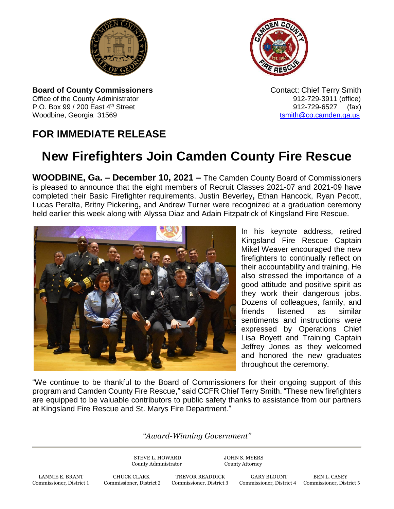



**Board of County Commissioners Contact: Chief Terry Smith Contact: Chief Terry Smith** Office of the County Administrator **912-729-3911** (office) P.O. Box 99 / 200 East 4<sup>th</sup> Street 912-729-6527 (fax) Woodbine, Georgia 31569 to the control of the control of the control of the control of the control of the control of the control of the control of the control of the control of the control of the control of the control of

## **FOR IMMEDIATE RELEASE**

## **New Firefighters Join Camden County Fire Rescue**

**WOODBINE, Ga. – December 10, 2021 –** The Camden County Board of Commissioners is pleased to announce that the eight members of Recruit Classes 2021-07 and 2021-09 have completed their Basic Firefighter requirements. Justin Beverley**,** Ethan Hancock, Ryan Pecott, Lucas Peralta, Britny Pickering**,** and Andrew Turner were recognized at a graduation ceremony held earlier this week along with Alyssa Diaz and Adain Fitzpatrick of Kingsland Fire Rescue.



In his keynote address, retired Kingsland Fire Rescue Captain Mikel Weaver encouraged the new firefighters to continually reflect on their accountability and training. He also stressed the importance of a good attitude and positive spirit as they work their dangerous jobs. Dozens of colleagues, family, and friends listened as similar sentiments and instructions were expressed by Operations Chief Lisa Boyett and Training Captain Jeffrey Jones as they welcomed and honored the new graduates throughout the ceremony.

"We continue to be thankful to the Board of Commissioners for their ongoing support of this program and Camden County Fire Rescue," said CCFR Chief Terry Smith. "These new firefighters are equipped to be valuable contributors to public safety thanks to assistance from our partners at Kingsland Fire Rescue and St. Marys Fire Department."

*"Award-Winning Government"*

STEVE L. HOWARD JOHN S. MYERS County Administrator County Attorney

LANNIE E. BRANT CHUCK CLARK TREVOR READDICK GARY BLOUNT BEN L. CASEY<br>2 Commissioner, District 1 Commissioner, District 2 Commissioner, District 3 Commissioner, District 4 Commissioner, Dist Commissioner, District 1 Commissioner, District 2 Commissioner, District 3 Commissioner, District 4 Commissioner, District 5